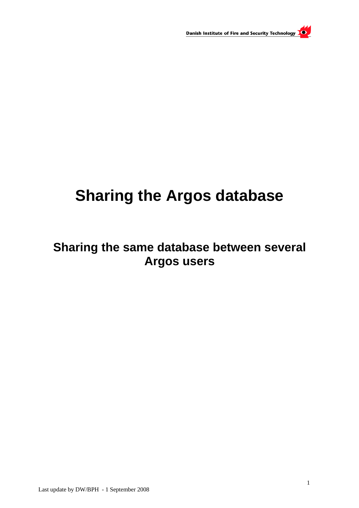

# **Sharing the Argos database**

# **Sharing the same database between several Argos users**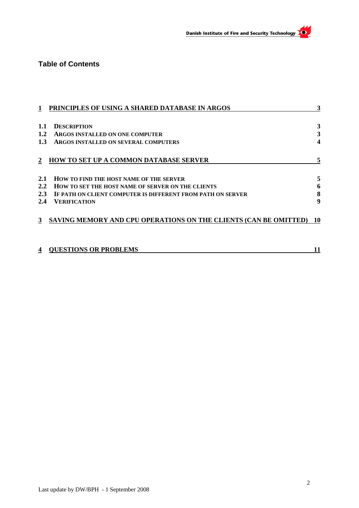

## **Table of Contents**

|         | PRINCIPLES OF USING A SHARED DATABASE IN ARGOS                   | 3         |
|---------|------------------------------------------------------------------|-----------|
|         |                                                                  |           |
| 1.1     | <b>DESCRIPTION</b>                                               | 3         |
| $1.2\,$ | ARGOS INSTALLED ON ONE COMPUTER                                  | 3         |
| 1.3     | ARGOS INSTALLED ON SEVERAL COMPUTERS                             |           |
|         | HOW TO SET UP A COMMON DATABASE SERVER                           |           |
| 2.1     | <b>HOW TO FIND THE HOST NAME OF THE SERVER</b>                   |           |
| 2.2     | HOW TO SET THE HOST NAME OF SERVER ON THE CLIENTS                |           |
| 2.3     | IF PATH ON CLIENT COMPUTER IS DIFFERENT FROM PATH ON SERVER      | 8         |
| 2.4     | VERIFICATION                                                     | 9         |
| 3       | SAVING MEMORY AND CPU OPERATIONS ON THE CLIENTS (CAN BE OMITTED) | <b>10</b> |
|         | <b>QUESTIONS OR PROBLEMS</b>                                     | 11        |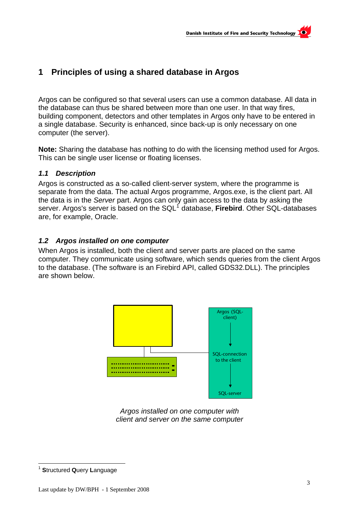# <span id="page-2-0"></span>**1 Principles of using a shared database in Argos**

Argos can be configured so that several users can use a common database. All data in the database can thus be shared between more than one user. In that way fires, building component, detectors and other templates in Argos only have to be entered in a single database. Security is enhanced, since back-up is only necessary on one computer (the server).

**Note:** Sharing the database has nothing to do with the licensing method used for Argos. This can be single user license or floating licenses.

#### *1.1 Description*

Argos is constructed as a so-called client-server system, where the programme is separate from the data. The actual Argos programme, Argos.exe, is the client part. All the data is in the *Server* part. Argos can only gain access to the data by asking the server. Argos's server is based on the SQL<sup>[1](#page-2-1)</sup> database, Firebird. Other SQL-databases are, for example, Oracle.

#### *1.2 Argos installed on one computer*

When Argos is installed, both the client and server parts are placed on the same computer. They communicate using software, which sends queries from the client Argos to the database. (The software is an Firebird API, called GDS32.DLL). The principles are shown below.



*Argos installed on one computer with client and server on the same computer* 

<span id="page-2-1"></span>l <sup>1</sup> **S**tructured **Q**uery **L**anguage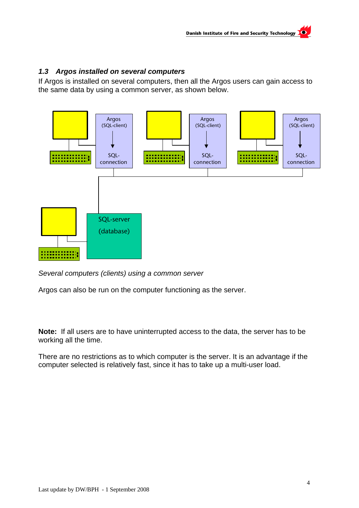#### <span id="page-3-0"></span>*1.3 Argos installed on several computers*

If Argos is installed on several computers, then all the Argos users can gain access to the same data by using a common server, as shown below.



*Several computers (clients) using a common server* 

Argos can also be run on the computer functioning as the server.

**Note:** If all users are to have uninterrupted access to the data, the server has to be working all the time.

There are no restrictions as to which computer is the server. It is an advantage if the computer selected is relatively fast, since it has to take up a multi-user load.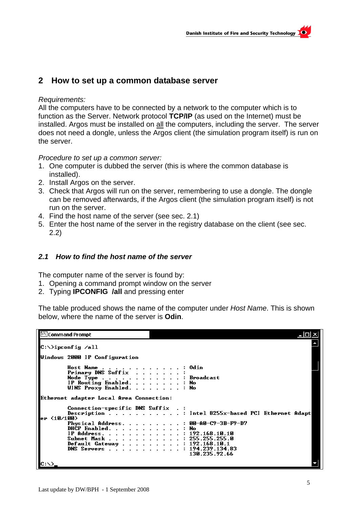### <span id="page-4-0"></span>**2 How to set up a common database server**

#### *Requirements:*

All the computers have to be connected by a network to the computer which is to function as the Server. Network protocol **TCP/IP** (as used on the Internet) must be installed. Argos must be installed on all the computers, including the server. The server does not need a dongle, unless the Argos client (the simulation program itself) is run on the server.

*Procedure to set up a common server:* 

- 1. One computer is dubbed the server (this is where the common database is installed).
- 2. Install Argos on the server.
- 3. Check that Argos will run on the server, remembering to use a dongle. The dongle can be removed afterwards, if the Argos client (the simulation program itself) is not run on the server.
- 4. Find the host name of the server (see sec. [2.1](#page-4-1))
- 5. Enter the host name of the server in the registry database on the client (see sec. [2.2](#page-5-1))

#### <span id="page-4-1"></span>*2.1 How to find the host name of the server*

The computer name of the server is found by:

- 1. Opening a command prompt window on the server
- 2. Typing **IPCONFIG /all** and pressing enter

The table produced shows the name of the computer under *Host Name*. This is shown below, where the name of the server is **Odin**.

| Command Prompt                                                                                                                                         | $  \Box $ $\times$                                                                                                                                                                                                                                             |
|--------------------------------------------------------------------------------------------------------------------------------------------------------|----------------------------------------------------------------------------------------------------------------------------------------------------------------------------------------------------------------------------------------------------------------|
| C:\>ipconfig /all                                                                                                                                      |                                                                                                                                                                                                                                                                |
| Windows 2000 IP Configuration<br>Host Name : Odin<br>Primary DNS Suffix :<br>Node Type Broadcast<br>IP Routing Enabled. No<br>WINS Proxy Enabled. : No |                                                                                                                                                                                                                                                                |
| Ethernet adapter Local Area Connection:<br>Connection-specific DNS Suffix .:<br>er (10/100)                                                            | Description : Intel 8255x-based PCI Ethernet Adapt<br>Physical Address. : 00-A0-C9-3B-F9-D7<br>DHCP Enabled. No<br>IP Address. : 192.168.10.10<br>Subnet Mask 255.255.255.0<br>Default Gateway : 192.168.10.1<br>DNS Servers : 194.239.134.83<br>130.235.92.66 |
|                                                                                                                                                        |                                                                                                                                                                                                                                                                |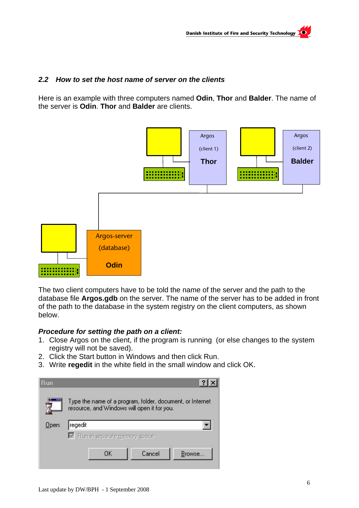#### <span id="page-5-1"></span><span id="page-5-0"></span>*2.2 How to set the host name of server on the clients*

Here is an example with three computers named **Odin**, **Thor** and **Balder**. The name of the server is **Odin**. **Thor** and **Balder** are clients.



The two client computers have to be told the name of the server and the path to the database file **Argos.gdb** on the server. The name of the server has to be added in front of the path to the database in the system registry on the client computers, as shown below.

#### *Procedure for setting the path on a client:*

- 1. Close Argos on the client, if the program is running (or else changes to the system registry will not be saved).
- 2. Click the Start button in Windows and then click Run.
- 3. Write **regedit** in the white field in the small window and click OK.

| <b>Run</b> |                                                                                                          |        |        |
|------------|----------------------------------------------------------------------------------------------------------|--------|--------|
|            | Type the name of a program, folder, document, or Internet<br>resource, and Windows will open it for you. |        |        |
| Open:      | regedit                                                                                                  |        |        |
|            | Ⅳ Run in separate memory space                                                                           |        |        |
|            | ПK                                                                                                       | Cancel | Browse |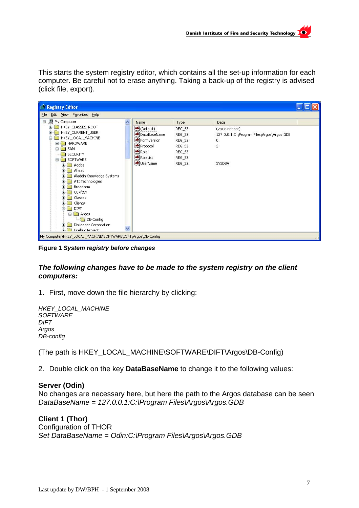This starts the system registry editor, which contains all the set-up information for each computer. Be careful not to erase anything. Taking a back-up of the registry is advised (click file, export).

| <b>Af Registry Editor</b>                                                                                                                                                                                                                                                                                                                                                                                              |   |                                                                                                                       |                                                                            |                                                                                                                         |  |
|------------------------------------------------------------------------------------------------------------------------------------------------------------------------------------------------------------------------------------------------------------------------------------------------------------------------------------------------------------------------------------------------------------------------|---|-----------------------------------------------------------------------------------------------------------------------|----------------------------------------------------------------------------|-------------------------------------------------------------------------------------------------------------------------|--|
| Edit View Favorites Help<br>Eile                                                                                                                                                                                                                                                                                                                                                                                       |   |                                                                                                                       |                                                                            |                                                                                                                         |  |
| <b>图</b> My Computer<br>Ξ<br>HKEY_CLASSES_ROOT<br>田<br>HKEY_CURRENT_USER<br>Œ<br>ė<br>HKEY_LOCAL_MACHINE<br><b>HARDWARE</b><br>Ð<br><b>B</b> SAM<br>⊞<br>SECURITY<br>SOFTWARE<br>Adobe<br>Ahead<br>Aladdin Knowledge Systems<br><b>PATTE</b><br>ATI Technologies<br>m.<br>Broadcom<br>m<br>CO7ft5Y<br>田<br>Classes<br>田<br>Clients<br>田<br><b>DIFT</b><br>⊟<br>$\Box$ Argos<br>DB-Config<br>Diskeeper Corporation<br>Ð |   | <b>Name</b><br>ab](Default)<br>ab]DataBaseName<br>BormVersion<br>ab]Protocol<br>ab]Role<br>ab]RoleList<br>ab]UserName | Type<br>REG_SZ<br>REG_SZ<br>REG_SZ<br>REG_SZ<br>REG_SZ<br>REG_SZ<br>REG SZ | Data<br>(value not set)<br>127.0.0.1:C:\Program Files\Argos\Argos.GDB<br>$\mathbf 0$<br>$\overline{c}$<br><b>SYSDBA</b> |  |
| <b>Fig. Firehird Project</b><br>My Computer\HKEY_LOCAL_MACHINE\SOFTWARE\DIFT\Argos\DB-Config                                                                                                                                                                                                                                                                                                                           | v |                                                                                                                       |                                                                            |                                                                                                                         |  |

**Figure 1** *System registry before changes* 

#### *The following changes have to be made to the system registry on the client computers:*

1. First, move down the file hierarchy by clicking:

```
HKEY_LOCAL_MACHINE 
SOFTWARE 
DIFT 
Argos 
DB-config
```
(The path is HKEY\_LOCAL\_MACHINE\SOFTWARE\DIFT\Argos\DB-Config)

2. Double click on the key **DataBaseName** to change it to the following values:

#### **Server (Odin)**

No changes are necessary here, but here the path to the Argos database can be seen *DataBaseName = 127.0.0.1:C:\Program Files\Argos\Argos.GDB* 

**Client 1 (Thor)**  Configuration of THOR *Set DataBaseName = Odin:C:\Program Files\Argos\Argos.GDB*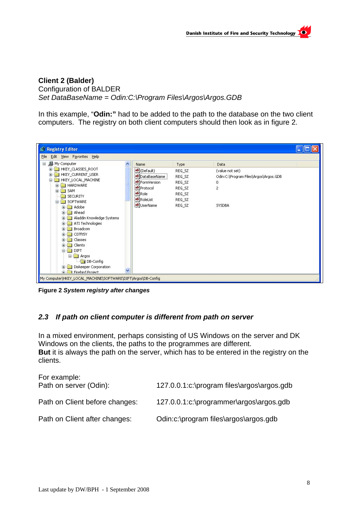#### <span id="page-7-0"></span>**Client 2 (Balder)**  Configuration of BALDER *Set DataBaseName = Odin:C:\Program Files\Argos\Argos.GDB*

In this example, "**Odin:"** had to be added to the path to the database on the two client computers. The registry on both client computers should then look as in figure 2.



**Figure 2** *System registry after changes*

#### *2.3 If path on client computer is different from path on server*

In a mixed environment, perhaps consisting of US Windows on the server and DK Windows on the clients, the paths to the programmes are different. **But** it is always the path on the server, which has to be entered in the registry on the clients.

| For example:<br>Path on server (Odin): | 127.0.0.1:c:\program files\argos\argos.gdb |
|----------------------------------------|--------------------------------------------|
| Path on Client before changes:         | 127.0.0.1:c:\programmer\argos\argos.gdb    |
| Path on Client after changes:          | Odin:c:\program files\argos\argos.gdb      |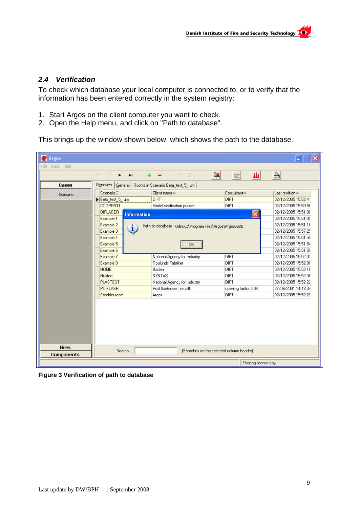#### <span id="page-8-0"></span>*2.4 Verification*

To check which database your local computer is connected to, or to verify that the information has been entered correctly in the system registry:

- 1. Start Argos on the client computer you want to check.
- 2. Open the Help menu, and click on "Path to database".

This brings up the window shown below, which shows the path to the database.

| File Data Help                    |                                       |                                                         |                                          |                     |
|-----------------------------------|---------------------------------------|---------------------------------------------------------|------------------------------------------|---------------------|
|                                   | K<<br>H<br>$\blacktriangleright$      |                                                         | 曙<br>W<br>鞣                              | 昌                   |
| <b>Cases</b>                      |                                       | Overview   General   Rooms in Scenario Beta_test_5_rum  |                                          |                     |
| Scenario                          | Scenario <sup>T</sup>                 | $Client name =$                                         | $Consultan \equiv$                       | $Last revision =$   |
|                                   | Beta_test_5_rum                       | DIFT                                                    | <b>DIFT</b>                              | 02/12/2005 15:52:41 |
|                                   | COOPER11                              | Model verification project                              | DIFT                                     | 02/12/2005 15:50:56 |
|                                   | <b>DIFLAGER</b><br><b>Information</b> |                                                         | $\times$                                 | 02/12/2005 15:51:00 |
|                                   | Example 1                             |                                                         |                                          | 02/12/2005 15:51:09 |
|                                   | Example 2                             | Path to database: Odin:C:\Program Files\Argos\Argos.GDB |                                          | 02/12/2005 15:51:16 |
|                                   | 1<br>Example 3                        |                                                         |                                          | 02/12/2005 15:57:25 |
|                                   | Example 4                             |                                                         |                                          | 02/12/2005 15:51:50 |
|                                   | Example 5                             | ÖK                                                      |                                          | 02/12/2005 15:51:54 |
|                                   | Example 6                             |                                                         |                                          | 02/12/2005 15:51:58 |
|                                   | Example 7                             | National Agency for Industry                            | <b>DIFT</b>                              | 02/12/2005 15:52:0. |
|                                   | Example 8                             | Roulunds Fabriker                                       | DIFT                                     | 02/12/2005 15:52:08 |
|                                   | <b>HOME</b>                           | Baden                                                   | DIFT                                     | 02/12/2005 15:52:16 |
|                                   | <b>Husted</b>                         | SYNTAX                                                  | DIFT                                     | 02/12/2005 15:52:36 |
|                                   | <b>PLASTEST</b>                       | National Agency for Industry                            | DIFT                                     | 02/12/2005 15:52:22 |
|                                   | PO-FLASH                              | Post flash-over fire with                               | opening factor 0.04                      | 27/06/2001 14:43:34 |
|                                   | Steckler-room                         | Argos                                                   | DIFT                                     | 02/12/2005 15:52:29 |
|                                   |                                       |                                                         |                                          |                     |
| <b>Fires</b><br><b>Components</b> | Search                                |                                                         | (Searches on the selected column header) |                     |

**Figure 3 Verification of path to database**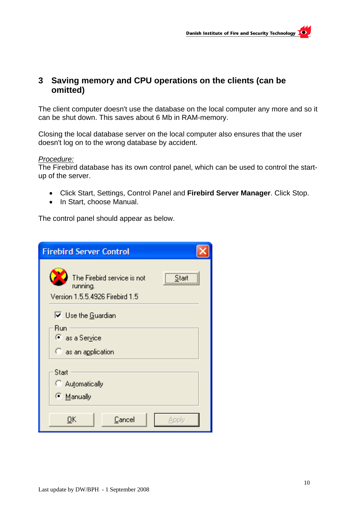# <span id="page-9-0"></span>**3 Saving memory and CPU operations on the clients (can be omitted)**

The client computer doesn't use the database on the local computer any more and so it can be shut down. This saves about 6 Mb in RAM-memory.

Closing the local database server on the local computer also ensures that the user doesn't log on to the wrong database by accident.

#### *Procedure:*

The Firebird database has its own control panel, which can be used to control the startup of the server.

- Click Start, Settings, Control Panel and **Firebird Server Manager**. Click Stop.
- In Start, choose Manual.

The control panel should appear as below.

| <b>Firebird Server Control</b>                                                      |
|-------------------------------------------------------------------------------------|
| The Firebird service is not<br>Start<br>running.<br>Version 1.5.5.4926 Firebird 1.5 |
| $\overline{\triangledown}$ Use the Guardian                                         |
| Run<br>● as a Service                                                               |
| as an application                                                                   |
| Start<br>C Automatically<br>© Manually                                              |
| OΚ<br>Cancel<br>Apply                                                               |